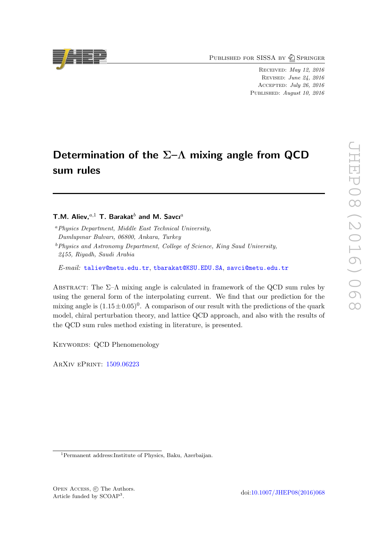PUBLISHED FOR SISSA BY 2 SPRINGER

Received: May 12, 2016 Revised: June 24, 2016 Accepted: July 26, 2016 PUBLISHED: August 10, 2016

# Determination of the  $\Sigma$ – $\Lambda$  mixing angle from QCD sum rules

### T.M. Aliev, $a,1$  T. Barakat<sup>b</sup> and M. Savcı<sup>a</sup>

<sup>a</sup>Physics Department, Middle East Technical University, Dumlupınar Bulvarı, 06800, Ankara, Turkey

 $b$ Physics and Astronomy Department, College of Science, King Saud University, 2455, Riyadh, Saudi Arabia

E-mail: [taliev@metu.edu.tr](mailto:taliev@metu.edu.tr), [tbarakat@KSU.EDU.SA](mailto:tbarakat@KSU.EDU.SA), [savci@metu.edu.tr](mailto:savci@metu.edu.tr)

ABSTRACT: The  $\Sigma-\Lambda$  mixing angle is calculated in framework of the QCD sum rules by using the general form of the interpolating current. We find that our prediction for the mixing angle is  $(1.15 \pm 0.05)^{0}$ . A comparison of our result with the predictions of the quark model, chiral perturbation theory, and lattice QCD approach, and also with the results of the QCD sum rules method existing in literature, is presented.

KEYWORDS: QCD Phenomenology

ArXiv ePrint: [1509.06223](http://arxiv.org/abs/1509.06223)



<sup>1</sup>Permanent address:Institute of Physics, Baku, Azerbaijan.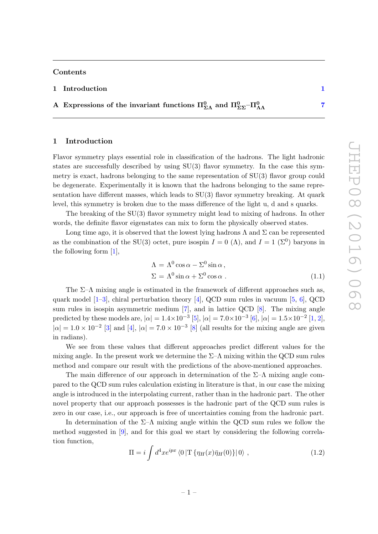#### Contents

### 1 Introduction [1](#page-1-0)

### A Expressions of the invariant functions  $\Pi_{\Sigma\Lambda}^0$  and  $\Pi_{\Sigma\Sigma}^0$ - $\Pi_{\Lambda\Lambda}^0$  [7](#page-7-0)

### <span id="page-1-0"></span>1 Introduction

Flavor symmetry plays essential role in classification of the hadrons. The light hadronic states are successfully described by using  $SU(3)$  flavor symmetry. In the case this symmetry is exact, hadrons belonging to the same representation of  $SU(3)$  flavor group could be degenerate. Experimentally it is known that the hadrons belonging to the same representation have different masses, which leads to SU(3) flavor symmetry breaking. At quark level, this symmetry is broken due to the mass difference of the light u, d and s quarks.

The breaking of the SU(3) flavor symmetry might lead to mixing of hadrons. In other words, the definite flavor eigenstates can mix to form the physically observed states.

Long time ago, it is observed that the lowest lying hadrons  $\Lambda$  and  $\Sigma$  can be represented as the combination of the SU(3) octet, pure isospin  $I = 0 \; (\Lambda)$ , and  $I = 1 \; (\Sigma^0)$  baryons in the following form [\[1\]](#page-9-0),

$$
\Lambda = \Lambda^0 \cos \alpha - \Sigma^0 \sin \alpha ,
$$
  
\n
$$
\Sigma = \Lambda^0 \sin \alpha + \Sigma^0 \cos \alpha .
$$
 (1.1)

The  $\Sigma$ – $\Lambda$  mixing angle is estimated in the framework of different approaches such as, quark model  $[1-3]$  $[1-3]$ , chiral perturbation theory [\[4\]](#page-9-2), QCD sum rules in vacuum [\[5,](#page-10-0) [6\]](#page-10-1), QCD sum rules in isospin asymmetric medium [\[7\]](#page-10-2), and in lattice QCD [\[8\]](#page-10-3). The mixing angle predicted by these models are,  $|\alpha| = 1.4 \times 10^{-3}$  [\[5\]](#page-10-0),  $|\alpha| = 7.0 \times 10^{-3}$  [\[6\]](#page-10-1),  $|\alpha| = 1.5 \times 10^{-2}$  [\[1,](#page-9-0) [2\]](#page-9-3),  $|\alpha| = 1.0 \times 10^{-2}$  [\[3\]](#page-9-1) and [\[4\]](#page-9-2),  $|\alpha| = 7.0 \times 10^{-3}$  [\[8\]](#page-10-3) (all results for the mixing angle are given in radians).

We see from these values that different approaches predict different values for the mixing angle. In the present work we determine the  $\Sigma$ – $\Lambda$  mixing within the QCD sum rules method and compare our result with the predictions of the above-mentioned approaches.

The main difference of our approach in determination of the  $\Sigma-\Lambda$  mixing angle compared to the QCD sum rules calculation existing in literature is that, in our case the mixing angle is introduced in the interpolating current, rather than in the hadronic part. The other novel property that our approach possesses is the hadronic part of the QCD sum rules is zero in our case, i.e., our approach is free of uncertainties coming from the hadronic part.

In determination of the  $\Sigma-\Lambda$  mixing angle within the QCD sum rules we follow the method suggested in [\[9\]](#page-10-4), and for this goal we start by considering the following correlation function,

<span id="page-1-1"></span>
$$
\Pi = i \int d^4x e^{ipx} \langle 0|T\{\eta_H(x)\bar{\eta}_H(0)\}|0\rangle , \qquad (1.2)
$$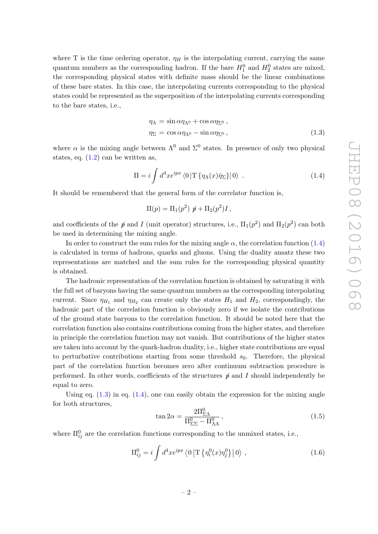where T is the time ordering operator,  $\eta_H$  is the interpolating current, carrying the same quantum numbers as the corresponding hadron. If the bare  $H_1^0$  and  $H_2^0$  states are mixed, the corresponding physical states with definite mass should be the linear combinations of these bare states. In this case, the interpolating currents corresponding to the physical states could be represented as the superposition of the interpolating currents corresponding to the bare states, i.e.,

<span id="page-2-1"></span>
$$
\eta_{\Lambda} = \sin \alpha \eta_{\Lambda^0} + \cos \alpha \eta_{\Sigma^0}, \eta_{\Sigma} = \cos \alpha \eta_{\Lambda^0} - \sin \alpha \eta_{\Sigma^0},
$$
\n(1.3)

where  $\alpha$  is the mixing angle between  $\Lambda^0$  and  $\Sigma^0$  states. In presence of only two physical states, eq.  $(1.2)$  can be written as,

<span id="page-2-0"></span>
$$
\Pi = i \int d^4x e^{ipx} \langle 0 | \mathcal{T} \{ \eta_\Lambda(x) \bar{\eta}_\Sigma \} | 0 \rangle . \qquad (1.4)
$$

It should be remembered that the general form of the correlator function is,

$$
\Pi(p) = \Pi_1(p^2) \not p + \Pi_2(p^2)I,
$$

and coefficients of the  $\not\!$  and I (unit operator) structures, i.e.,  $\Pi_1(p^2)$  and  $\Pi_2(p^2)$  can both be used in determining the mixing angle.

In order to construct the sum rules for the mixing angle  $\alpha$ , the correlation function [\(1.4\)](#page-2-0) is calculated in terms of hadrons, quarks and gluons. Using the duality ansatz these two representations are matched and the sum rules for the corresponding physical quantity is obtained.

The hadronic representation of the correlation function is obtained by saturating it with the full set of baryons having the same quantum numbers as the corresponding interpolating current. Since  $\eta_{H_1}$  and  $\eta_{H_2}$  can create only the states  $H_1$  and  $H_2$ , correspondingly, the hadronic part of the correlation function is obviously zero if we isolate the contributions of the ground state baryons to the correlation function. It should be noted here that the correlation function also contains contributions coming from the higher states, and therefore in principle the correlation function may not vanish. But contributions of the higher states are taken into account by the quark-hadron duality, i.e., higher state contributions are equal to perturbative contributions starting from some threshold  $s_0$ . Therefore, the physical part of the correlation function becomes zero after continuum subtraction procedure is performed. In other words, coefficients of the structures  $\phi$  and I should independently be equal to zero.

Using eq.  $(1.3)$  in eq.  $(1.4)$ , one can easily obtain the expression for the mixing angle for both structures,

$$
\tan 2\alpha = \frac{2\Pi_{\Sigma\Lambda}^0}{\Pi_{\Sigma\Sigma}^0 - \Pi_{\Lambda\Lambda}^0},\tag{1.5}
$$

where  $\Pi_{ij}^0$  are the correlation functions corresponding to the unmixed states, i.e.,

<span id="page-2-2"></span>
$$
\Pi_{ij}^0 = i \int d^4x e^{ipx} \langle 0 | \mathcal{T} \{ \eta_i^0(x) \eta_j^0 \} | 0 \rangle , \qquad (1.6)
$$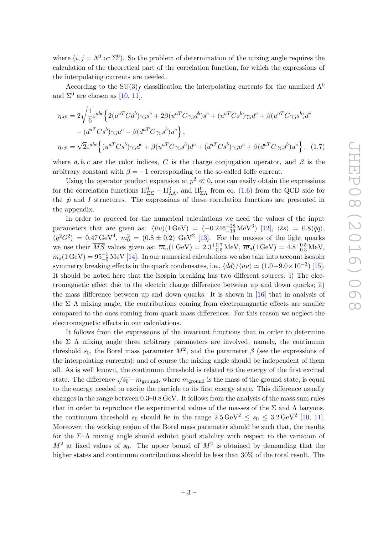where  $(i, j = \Lambda^0$  or  $\Sigma^0$ ). So the problem of determination of the mixing angle requires the calculation of the theoretical part of the correlation function, for which the expressions of the interpolating currents are needed.

According to the SU(3)<sub>f</sub> classification the interpolating currents for the unmixed  $\Lambda^0$ and  $\Sigma^0$  are chosen as [\[10,](#page-10-5) [11\]](#page-10-6),

$$
\eta_{\Lambda^0} = 2\sqrt{\frac{1}{6}}\varepsilon^{abc} \Big\{ 2(u^{aT}Cd^b)\gamma_5s^c + 2\beta(u^{aT}C\gamma_5d^b)s^c + (u^{aT}Cs^b)\gamma_5d^c + \beta(u^{aT}C\gamma_5s^b)d^c - (d^{aT}Cs^b)\gamma_5u^c - \beta(d^{aT}C\gamma_5s^b)u^c \Big\},
$$
  

$$
\eta_{\Sigma^0} = \sqrt{2}\varepsilon^{abc} \Big\{ (u^{aT}Cs^b)\gamma_5d^c + \beta(u^{aT}C\gamma_5s^b)d^c + (d^{aT}Cs^b)\gamma_5u^c + \beta(d^{aT}C\gamma_5s^b)u^c \Big\}, \quad (1.7)
$$

where a, b, c are the color indices, C is the charge conjugation operator, and  $\beta$  is the arbitrary constant with  $\beta = -1$  corresponding to the so-called Ioffe current.

Using the operator product expansion at  $p^2 \ll 0$ , one can easily obtain the expressions for the correlation functions  $\Pi_{\Sigma\Sigma}^0 - \Pi_{\Lambda\Lambda}^0$ , and  $\Pi_{\Sigma\Lambda}^0$  from eq. [\(1.6\)](#page-2-2) from the QCD side for the  $\hat{p}$  and I structures. The expressions of these correlation functions are presented in the appendix.

In order to proceed for the numerical calculations we need the values of the input parameters that are given as:  $\langle \bar{u}u \rangle (1 \,\text{GeV}) = (-0.246^{+28}_{-19} \,\text{MeV}^3)$  [\[12\]](#page-10-7),  $\langle \bar{s}s \rangle = 0.8 \langle \bar{q}q \rangle$ ,  $\langle g^2 G^2 \rangle = 0.47 \,\text{GeV}^4$ ,  $m_0^2 = (0.8 \pm 0.2) \text{ GeV}^2$  [\[13\]](#page-10-8). For the masses of the light quarks we use their  $\overline{MS}$  values given as:  $\overline{m}_u(1 \text{ GeV}) = 2.3^{+0.7}_{-0.5} \text{ MeV}, \,\overline{m}_d(1 \text{ GeV}) = 4.8^{+0.5}_{-0.3} \text{ MeV},$  $\overline{m}_s(1 \, \rm{GeV}) = 95^{+5}_{-5} \, \rm{MeV}$  [\[14\]](#page-10-9). In our numerical calculations we also take into account isospin symmetry breaking effects in the quark condensates, i.e.,  $\langle \bar{d}d \rangle / \langle \bar{u}u \rangle \simeq (1.0-9.0 \times 10^{-3})$  [\[15\]](#page-10-10). It should be noted here that the isospin breaking has two different sources: i) The electromagnetic effect due to the electric charge difference between up and down quarks; ii) the mass difference between up and down quarks. It is shown in [\[16\]](#page-10-11) that in analysis of the  $\Sigma-\Lambda$  mixing angle, the contributions coming from electromagnetic effects are smaller compared to the ones coming from quark mass differences. For this reason we neglect the electromagnetic effects in our calculations.

It follows from the expressions of the invariant functions that in order to determine the  $\Sigma-\Lambda$  mixing angle three arbitrary parameters are involved, namely, the continuum threshold  $s_0$ , the Borel mass parameter  $M^2$ , and the parameter  $\beta$  (see the expressions of the interpolating currents); and of course the mixing angle should be independent of them all. As is well known, the continuum threshold is related to the energy of the first excited state. The difference  $\sqrt{s_0} - m_{\text{ground}}$ , where  $m_{\text{ground}}$  is the mass of the ground state, is equal to the energy needed to excite the particle to its first energy state. This difference usually changes in the range between 0.3–0.8 GeV. It follows from the analysis of the mass sum rules that in order to reproduce the experimental values of the masses of the  $\Sigma$  and  $\Lambda$  baryons, the continuum threshold  $s_0$  should lie in the range  $2.5 \,\text{GeV}^2 \leq s_0 \leq 3.2 \,\text{GeV}^2$  [\[10,](#page-10-5) [11\]](#page-10-6). Moreover, the working region of the Borel mass parameter should be such that, the results for the  $\Sigma$ – $\Lambda$  mixing angle should exhibit good stability with respect to the variation of  $M^2$  at fixed values of  $s_0$ . The upper bound of  $M^2$  is obtained by demanding that the higher states and continuum contributions should be less than 30% of the total result. The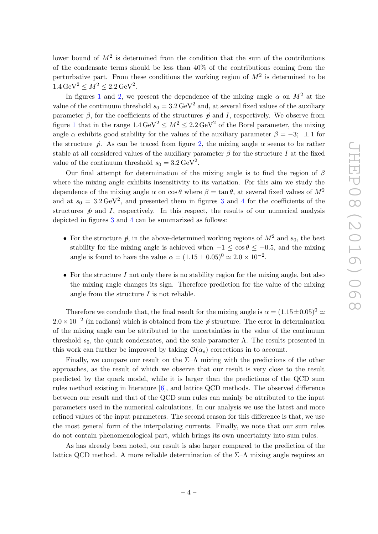lower bound of  $M^2$  is determined from the condition that the sum of the contributions of the condensate terms should be less than 40% of the contributions coming from the perturbative part. From these conditions the working region of  $M^2$  is determined to be  $1.4 \,\text{GeV}^2 \leq M^2 \leq 2.2 \,\text{GeV}^2.$ 

In figures [1](#page-5-0) and [2,](#page-5-1) we present the dependence of the mixing angle  $\alpha$  on  $M^2$  at the value of the continuum threshold  $s_0 = 3.2 \,\text{GeV}^2$  and, at several fixed values of the auxiliary parameter  $\beta$ , for the coefficients of the structures  $\rlap{/}$  and I, respectively. We observe from figure [1](#page-5-0) that in the range  $1.4 \,\text{GeV}^2 \leq M^2 \leq 2.2 \,\text{GeV}^2$  of the Borel parameter, the mixing angle  $\alpha$  exhibits good stability for the values of the auxiliary parameter  $\beta = -3$ ;  $\pm 1$  for the structure  $\phi$ . As can be traced from figure [2,](#page-5-1) the mixing angle  $\alpha$  seems to be rather stable at all considered values of the auxiliary parameter  $\beta$  for the structure I at the fixed value of the continuum threshold  $s_0 = 3.2 \,\text{GeV}^2$ .

Our final attempt for determination of the mixing angle is to find the region of  $\beta$ where the mixing angle exhibits insensitivity to its variation. For this aim we study the dependence of the mixing angle  $\alpha$  on  $\cos \theta$  where  $\beta = \tan \theta$ , at several fixed values of  $M^2$ and at  $s_0 = 3.2 \,\text{GeV}^2$  $s_0 = 3.2 \,\text{GeV}^2$  $s_0 = 3.2 \,\text{GeV}^2$ , and presented them in figures 3 and [4](#page-6-1) for the coefficients of the structures  $\hat{p}$  and I, respectively. In this respect, the results of our numerical analysis depicted in figures [3](#page-6-0) and [4](#page-6-1) can be summarized as follows:

- For the structure  $\rlap{/}{p}$ , in the above-determined working regions of  $M^2$  and  $s_0$ , the best stability for the mixing angle is achieved when  $-1 \le \cos \theta \le -0.5$ , and the mixing angle is found to have the value  $\alpha = (1.15 \pm 0.05)^0 \approx 2.0 \times 10^{-2}$ .
- For the structure I not only there is no stability region for the mixing angle, but also the mixing angle changes its sign. Therefore prediction for the value of the mixing angle from the structure  $I$  is not reliable.

Therefore we conclude that, the final result for the mixing angle is  $\alpha = (1.15 \pm 0.05)^{0} \approx$  $2.0 \times 10^{-2}$  (in radians) which is obtained from the  $\rlap{/}$  p structure. The error in determination of the mixing angle can be attributed to the uncertainties in the value of the continuum threshold  $s_0$ , the quark condensates, and the scale parameter  $\Lambda$ . The results presented in this work can further be improved by taking  $\mathcal{O}(\alpha_s)$  corrections in to account.

Finally, we compare our result on the  $\Sigma-\Lambda$  mixing with the predictions of the other approaches, as the result of which we observe that our result is very close to the result predicted by the quark model, while it is larger than the predictions of the QCD sum rules method existing in literature [\[6\]](#page-10-1), and lattice QCD methods. The observed difference between our result and that of the QCD sum rules can mainly be attributed to the input parameters used in the numerical calculations. In our analysis we use the latest and more refined values of the input parameters. The second reason for this difference is that, we use the most general form of the interpolating currents. Finally, we note that our sum rules do not contain phenomenological part, which brings its own uncertainty into sum rules.

As has already been noted, our result is also larger compared to the prediction of the lattice QCD method. A more reliable determination of the  $\Sigma$ – $\Lambda$  mixing angle requires an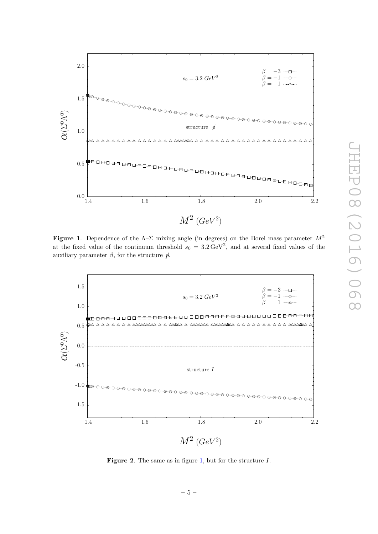

<span id="page-5-0"></span>**Figure 1.** Dependence of the  $\Lambda$ - $\Sigma$  mixing angle (in degrees) on the Borel mass parameter  $M^2$ at the fixed value of the continuum threshold  $s_0 = 3.2 \,\text{GeV}^2$ , and at several fixed values of the auxiliary parameter  $\beta$ , for the structure  $\rlap{/}{p}$ .



<span id="page-5-1"></span>Figure 2. The same as in figure [1,](#page-5-0) but for the structure I.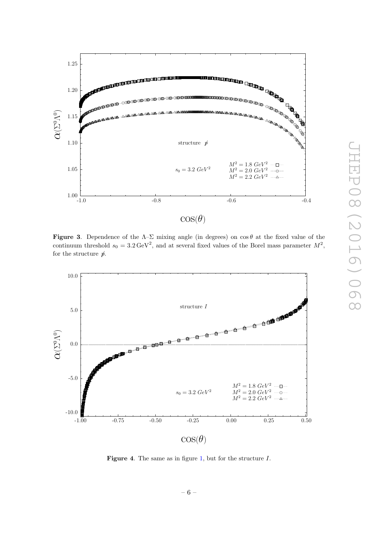

<span id="page-6-0"></span>**Figure 3.** Dependence of the  $\Lambda-\Sigma$  mixing angle (in degrees) on  $\cos\theta$  at the fixed value of the continuum threshold  $s_0 = 3.2 \,\text{GeV}^2$ , and at several fixed values of the Borel mass parameter  $M^2$ , for the structure  $\rlap{/}p$ .



<span id="page-6-1"></span>Figure 4. The same as in figure [1,](#page-5-0) but for the structure I.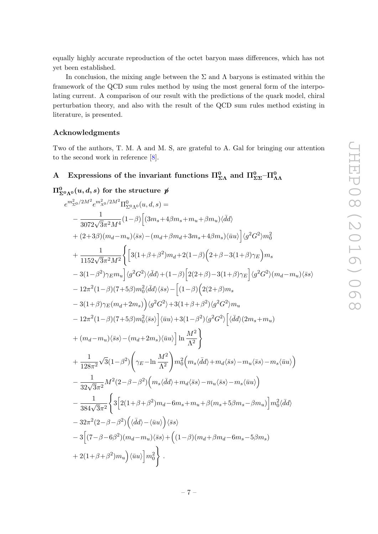equally highly accurate reproduction of the octet baryon mass differences, which has not yet been established.

In conclusion, the mixing angle between the  $\Sigma$  and  $\Lambda$  baryons is estimated within the framework of the QCD sum rules method by using the most general form of the interpolating current. A comparison of our result with the predictions of the quark model, chiral perturbation theory, and also with the result of the QCD sum rules method existing in literature, is presented.

### Acknowledgments

Two of the authors, T. M. A and M. S, are grateful to A. Gal for bringing our attention to the second work in reference [\[8\]](#page-10-3).

## <span id="page-7-0"></span> $\rm A\quad$  Expressions of the invariant functions  $\Pi_{\Sigma\Lambda}^{0}$  and  $\Pi_{\Sigma\Sigma}^{0}$ – $\Pi_{\Lambda\Lambda}^{0}$

 $\Pi^0_{\Sigma^0\Lambda^0}(u,d,s)$  for the structure  $\not\!p$  $e^{m_{\Sigma^0}^2/2M^2}e^{m_{\Lambda^0}^2/2M^2}\Pi^0_{\Sigma^0\Lambda^0}(u,d,s)=$  $-\left.\frac{1}{3072\sqrt{3}\pi^{2}M^{4}}(1-\beta)\right[(3m_{s}+4\beta m_{s}+m_{u}+\beta m_{u})\langle\bar{d}d\rangle$  $+ (2+3\beta)(m_d-m_u)\langle\bar ss\rangle - (m_d+\beta m_d+3m_s+4\beta m_s)\langle\bar uu\rangle\Big] \langle g^2G^2\rangle m_0^2$  $+\frac{1}{1152\sqrt{3}\pi^2M^2}$  $\Big\{\Big[3(1+\beta+\beta^2)m_d+2(1-\beta)\Big(2+\beta-3(1+\beta)\gamma_E\Big)m_s\Big\}$  $-3(1-\beta^2)\gamma_E m_u\Big] \langle g^2 G^2 \rangle \langle \bar{d}d \rangle + (1-\beta)\Big[2(2+\beta)-3(1+\beta)\gamma_E\Big] \langle g^2 G^2 \rangle (m_d-m_u)\langle \bar{s}s \rangle$  $-12\pi^2(1-\beta)(7+5\beta)m_0^2\langle\bar{d}d\rangle\langle\bar{s}s\rangle-\Big[(1-\beta)\Big(2(2+\beta)m_s$  $-3(1+\beta)\gamma_E(m_d+2m_s)\Big\langle g^2G^2\rangle+3(1+\beta+\beta^2)\langle g^2G^2\rangle m_u$  $-12\pi^2(1-\beta)(7+5\beta)m_0^2\langle\bar ss\rangle\Big]\langle\bar uu\rangle+3(1-\beta^2)\langle g^2G^2\rangle\Big[\langle\bar dd\rangle(2m_s+m_u)$  $+ (m_d-m_u)\langle\bar ss\rangle - (m_d+2m_s)\langle\bar uu\rangle\Big]\ln\frac{M^2}{\Lambda^2}$  $\lambda$  $+\frac{1}{100}$  $128\pi^2$ √  $\frac{1}{3}(1-\beta^2)$  $\bigg(\gamma_E-\ln\frac{M^2}{\Lambda^2}$  $\setminus$  $m_0^2\Big(m_s\langle\bar dd\rangle\!+\!m_d\langle\bar ss\rangle\!-\!m_u\langle\bar ss\rangle\!-\!m_s\langle\bar uu\rangle\Big)$  $-\left.\frac{1}{32\sqrt{3}\pi^2}M^2(2-\beta-\beta^2)\Big(m_s\langle\bar{d}d\rangle+m_d\langle\bar{s}s\rangle-m_u\langle\bar{s}s\rangle-m_s\langle\bar{u}u\rangle\right)$  $-\frac{1}{384\sqrt{3}\pi^2}$  $\sqrt{ }$  $3\Big[2(1+\beta+\beta^2)m_d-6m_s+m_u+\beta(m_s+5\beta m_s-\beta m_u)\Big]m_0^2\langle\bar{d}d\rangle$  $-32\pi^2(2-\beta-\beta^2)\left(\langle\bar{d}d\rangle-\langle\bar{u}u\rangle\right)\langle\bar{s}s\rangle$  $-3[(7-\beta-6\beta^{2})(m_{d}-m_{u})\langle\bar{s}s\rangle + ((1-\beta)(m_{d}+\beta m_{d}-6m_{s}-5\beta m_{s}))$  $+2(1\!+\!\beta\!+\!\beta^2)m_u\Big)\langle\bar uu\rangle\Big]m_0^2$  $\lambda$ .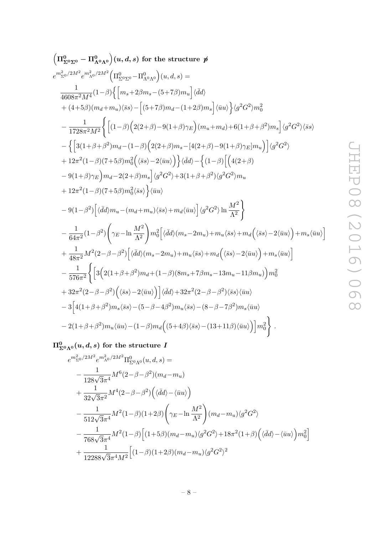$$
\left(\Pi_{2^{0}\Sigma^{0}}^{0}-\Pi_{\Lambda^{0}\Lambda^{0}}^{0}\right)(u,d,s) \text{ for the structure } \mathcal{U}
$$
\n
$$
e^{m_{2^{0}}^{2}\gamma M^{2}}e^{m_{\Lambda^{0}}^{2}\gamma M^{2}}\left(\Pi_{\Sigma^{0}\Sigma^{0}}^{0}-\Pi_{\Lambda^{0}\Lambda^{0}}^{0}\right)(u,d,s)=
$$
\n
$$
\frac{1}{4608\pi^{2}M^{4}}(1-\beta)\left\{\left[m_{s}+2\beta m_{s}-(5+7\beta)m_{u}\right]\langle\bar{d}d\right\}\right.
$$
\n
$$
+(4+5\beta)(m_{d}+m_{u})\langle\bar{s}s\rangle-\left[(5+7\beta)m_{d}-(1+2\beta)m_{s}\right]\langle\bar{u}u\rangle\right\}\langle g^{2}G^{2}\rangle m_{0}^{2}
$$
\n
$$
-\frac{1}{1728\pi^{2}M^{2}}\left\{\left[(1-\beta)\left(2(2+\beta)-9(1+\beta)\gamma_{E}\right)(m_{u}+m_{d})+6(1+\beta+\beta^{2})m_{s}\right]\langle g^{2}G^{2}\rangle\langle\bar{s}s\rangle\right.
$$
\n
$$
-\left\{\left[3(1+\beta+\beta^{2})m_{d}-(1-\beta)\left(2(2+\beta)m_{s}-[4(2+\beta)-9(1+\beta)\gamma_{E}]m_{u}\right)\right]\langle g^{2}G^{2}\rangle\right.
$$
\n
$$
+12\pi^{2}(1-\beta)(7+5\beta)m_{0}^{2}\left(\langle\bar{s}s\rangle-2\langle\bar{u}u\rangle\right)\right\}\langle\bar{d}d\rangle-\left\{1-\beta\left[\left(4(2+\beta)-9(1+\beta)\gamma_{E}\right)m_{u}\right]\langle g^{2}G^{2}\rangle\right]m_{u}
$$
\n
$$
+12\pi^{2}(1-\beta)(7+5\beta)m_{0}^{2}\langle\bar{s}s\rangle\right\}\langle\bar{u}u\rangle
$$
\n
$$
-9(1-\beta^{2})\left[\langle\bar{d}d\rangle m_{u}-(m_{d}+m_{u})\langle s\bar{s}\rangle+m_{d}\langle\bar{u}u\rangle\right]\langle g^{2}G^{2}\rangle\ln\frac{M^{2}}{\Lambda^{2}}\right\}
$$
\n
$$
-\frac{
$$

 $\Pi^0_{\Sigma^0\Lambda^0}(u,d,s)$  for the structure  $I$ 

$$
e^{m_{\Sigma^0}^2/2M^2}e^{m_{\Lambda^0}^2/2M^2}\Pi_{\Sigma^0\Lambda^0}^0(u, d, s) =
$$
  
\n
$$
-\frac{1}{128\sqrt{3}\pi^4}M^6(2-\beta-\beta^2)(m_d-m_u)
$$
  
\n
$$
+\frac{1}{32\sqrt{3}\pi^2}M^4(2-\beta-\beta^2)\Big(\langle\bar{d}d\rangle-\langle\bar{u}u\rangle\Big)
$$
  
\n
$$
-\frac{1}{512\sqrt{3}\pi^4}M^2(1-\beta)(1+2\beta)\Big(\gamma_E-\ln\frac{M^2}{\Lambda^2}\Big)(m_d-m_u)\langle g^2G^2\rangle
$$
  
\n
$$
-\frac{1}{768\sqrt{3}\pi^4}M^2(1-\beta)\Big[(1+5\beta)(m_d-m_u)\langle g^2G^2\rangle+18\pi^2(1+\beta)\Big(\langle\bar{d}d\rangle-\langle\bar{u}u\rangle\Big)m_0^2\Big]
$$
  
\n
$$
+\frac{1}{12288\sqrt{3}\pi^4M^2}\Big[(1-\beta)(1+2\beta)(m_d-m_u)\langle g^2G^2\rangle^2
$$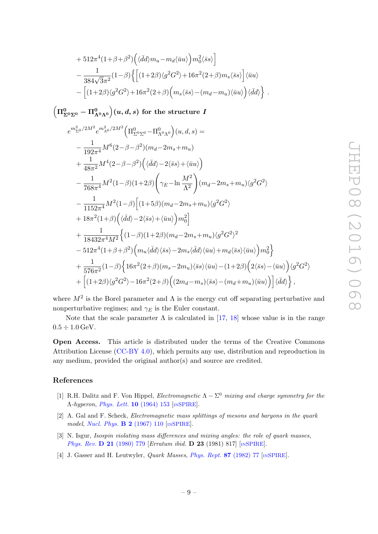+ 
$$
512\pi^4 (1+\beta+\beta^2) \Big( \langle \bar{d}d \rangle m_u - m_d \langle \bar{u}u \rangle \Big) m_0^2 \langle \bar{s}s \rangle \Big]
$$
  
\n-  $\frac{1}{384\sqrt{3}\pi^2} (1-\beta) \Big\{ \Big[ (1+2\beta) \langle g^2 G^2 \rangle + 16\pi^2 (2+\beta) m_s \langle \bar{s}s \rangle \Big] \langle \bar{u}u \rangle$   
\n-  $\Big[ (1+2\beta) \langle g^2 G^2 \rangle + 16\pi^2 (2+\beta) \Big( m_s \langle \bar{s}s \rangle - (m_d - m_u) \langle \bar{u}u \rangle \Big) \langle \bar{d}d \rangle \Big\}.$ 

 $\Big(\Pi^0_{\Sigma^0\Sigma^0} - \Pi^0_{\Lambda^0\Lambda^0}\Big)(u,d,s) \,\,\hbox{for the structure}\,\, I$ 

$$
e^{m_{\Sigma^0}^2/2M^2} e^{m_{\Lambda^0}^2/2M^2} \Big( \Pi_{\Sigma^0 \Sigma^0}^0 - \Pi_{\Lambda^0 \Lambda^0}^0 \Big) (u, d, s) =
$$
  
\n
$$
- \frac{1}{192\pi^4} M^6 (2 - \beta - \beta^2) (m_d - 2m_s + m_u)
$$
  
\n
$$
+ \frac{1}{48\pi^2} M^4 (2 - \beta - \beta^2) \Big( \langle \bar{d}d \rangle - 2 \langle \bar{s}s \rangle + \langle \bar{u}u \rangle \Big)
$$
  
\n
$$
- \frac{1}{768\pi^4} M^2 (1 - \beta) (1 + 2\beta) \Big( \gamma_E - \ln \frac{M^2}{\Lambda^2} \Big) (m_d - 2m_s + m_u) \langle g^2 G^2 \rangle
$$
  
\n
$$
- \frac{1}{1152\pi^4} M^2 (1 - \beta) \Big[ (1 + 5\beta) (m_d - 2m_s + m_u) \langle g^2 G^2 \rangle
$$
  
\n
$$
+ 18\pi^2 (1 + \beta) \Big( \langle \bar{d}d \rangle - 2 \langle \bar{s}s \rangle + \langle \bar{u}u \rangle \Big) m_0^2 \Big]
$$
  
\n
$$
+ \frac{1}{18432\pi^4 M^2} \Big\{ (1 - \beta) (1 + 2\beta) (m_d - 2m_s + m_u) \langle g^2 G^2 \rangle^2
$$
  
\n
$$
- 512\pi^4 (1 + \beta + \beta^2) \Big( m_u \langle \bar{d}d \rangle \langle \bar{s}s \rangle - 2m_s \langle \bar{d}d \rangle \langle \bar{u}u \rangle + m_d \langle \bar{s}s \rangle \langle \bar{u}u \rangle \Big) m_0^2 \Big\}
$$
  
\n
$$
+ \frac{1}{576\pi^2} (1 - \beta) \Big\{ 16\pi^2 (2 + \beta) (m_s - 2m_u) \langle \bar{s}s \rangle \langle \bar{u}u \rangle - (1 + 2\beta) \Big( 2 \langle \bar{s}s \rangle - \langle \bar{u}u \rangle \Big) \langle g^2 G^2 \rangle
$$
  
\n
$$
+ \Big[ (1 +
$$

where  $M^2$  is the Borel parameter and  $\Lambda$  is the energy cut off separating perturbative and nonperturbative regimes; and  $\gamma_E$  is the Euler constant.

Note that the scale parameter  $\Lambda$  is calculated in [\[17,](#page-10-12) [18\]](#page-10-13) whose value is in the range  $0.5 \div 1.0 \,\text{GeV}$ .

Open Access. This article is distributed under the terms of the Creative Commons Attribution License [\(CC-BY 4.0\)](http://creativecommons.org/licenses/by/4.0/), which permits any use, distribution and reproduction in any medium, provided the original author(s) and source are credited.

### References

- <span id="page-9-0"></span>[1] R.H. Dalitz and F. Von Hippel, *Electromagnetic*  $\Lambda - \Sigma^0$  mixing and charge symmetry for the Λ-hyperon, [Phys. Lett.](http://dx.doi.org/10.1016/0031-9163(64)90617-1) 10 (1964) 153 [IN[SPIRE](http://inspirehep.net/search?p=find+J+%22Phys.Lett.,10,153%22)].
- <span id="page-9-3"></span>[2] A. Gal and F. Scheck, Electromagnetic mass splittings of mesons and baryons in the quark model, [Nucl. Phys.](http://dx.doi.org/10.1016/0550-3213(67)90122-8) **B 2** (1967) 110 [IN[SPIRE](http://inspirehep.net/search?p=find+J+%22Nucl.Phys.,B2,110%22)].
- <span id="page-9-1"></span>[3] N. Isgur, Isospin violating mass differences and mixing angles: the role of quark masses, [Phys. Rev.](http://dx.doi.org/10.1103/PhysRevD.21.779) D 21 (1980) 779 [Erratum ibid. D 23 (1981) 817] [IN[SPIRE](http://inspirehep.net/search?p=find+J+%22Phys.Rev.,D21,779%22)].
- <span id="page-9-2"></span>[4] J. Gasser and H. Leutwyler, *Quark Masses, [Phys. Rept.](http://dx.doi.org/10.1016/0370-1573(82)90035-7)* 87 (1982) 77 [IN[SPIRE](http://inspirehep.net/search?p=find+J+%22Phys.Rept.,87,77%22)].